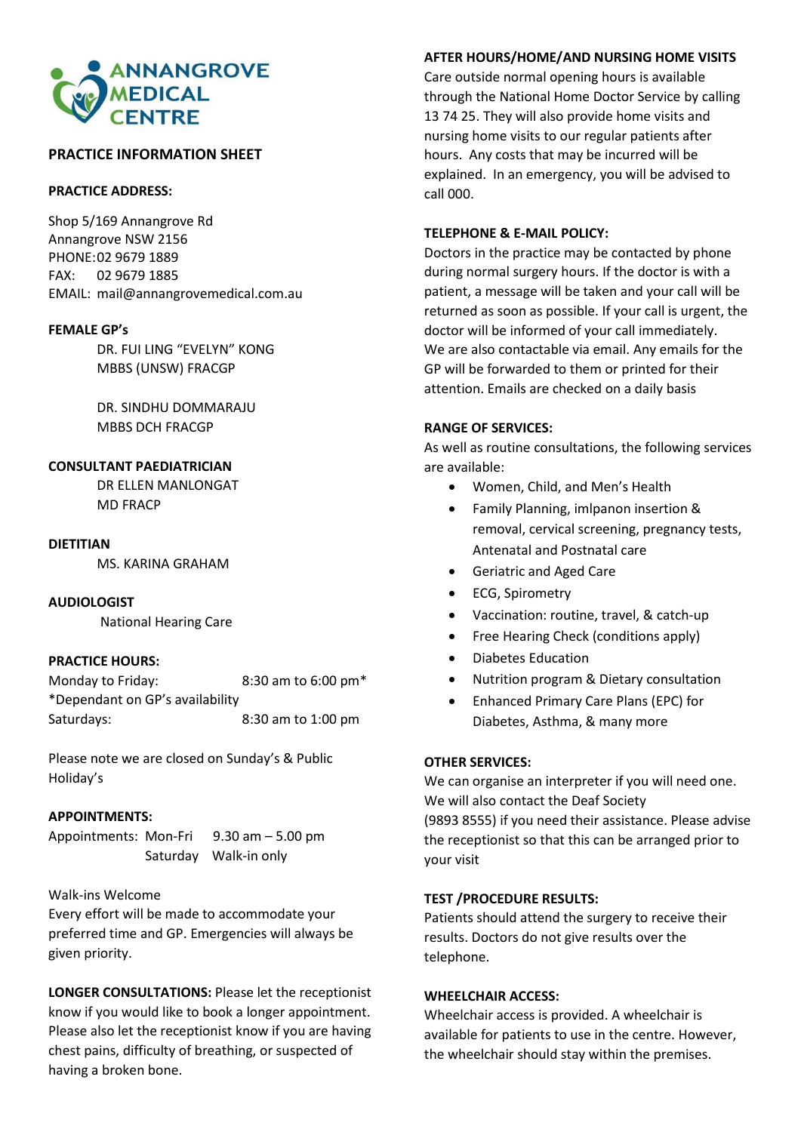

# **PRACTICE INFORMATION SHEET**

### **PRACTICE ADDRESS:**

Shop 5/169 Annangrove Rd Annangrove NSW 2156 PHONE:02 9679 1889 FAX: 02 9679 1885 EMAIL: mail@annangrovemedical.com.au

### **FEMALE GP's**

DR. FUI LING "EVELYN" KONG MBBS (UNSW) FRACGP

DR. SINDHU DOMMARAJU MBBS DCH FRACGP

### **CONSULTANT PAEDIATRICIAN**

DR ELLEN MANLONGAT MD FRACP

#### **DIETITIAN**

MS. KARINA GRAHAM

**AUDIOLOGIST**

National Hearing Care

### **PRACTICE HOURS:**

Monday to Friday: 8:30 am to 6:00 pm<sup>\*</sup> \*Dependant on GP's availability Saturdays: 8:30 am to 1:00 pm

Please note we are closed on Sunday's & Public Holiday's

### **APPOINTMENTS:**

Appointments: Mon-Fri 9.30 am – 5.00 pm Saturday Walk-in only

Walk-ins Welcome

Every effort will be made to accommodate your preferred time and GP. Emergencies will always be given priority.

**LONGER CONSULTATIONS:** Please let the receptionist know if you would like to book a longer appointment. Please also let the receptionist know if you are having chest pains, difficulty of breathing, or suspected of having a broken bone.

#### **AFTER HOURS/HOME/AND NURSING HOME VISITS**

Care outside normal opening hours is available through the National Home Doctor Service by calling 13 74 25. They will also provide home visits and nursing home visits to our regular patients after hours. Any costs that may be incurred will be explained. In an emergency, you will be advised to call 000.

#### **TELEPHONE & E-MAIL POLICY:**

Doctors in the practice may be contacted by phone during normal surgery hours. If the doctor is with a patient, a message will be taken and your call will be returned as soon as possible. If your call is urgent, the doctor will be informed of your call immediately. We are also contactable via email. Any emails for the GP will be forwarded to them or printed for their attention. Emails are checked on a daily basis

#### **RANGE OF SERVICES:**

As well as routine consultations, the following services are available:

- Women, Child, and Men's Health
- Family Planning, imlpanon insertion & removal, cervical screening, pregnancy tests, Antenatal and Postnatal care
- Geriatric and Aged Care
- ECG, Spirometry
- Vaccination: routine, travel, & catch-up
- Free Hearing Check (conditions apply)
- Diabetes Education
- Nutrition program & Dietary consultation
- Enhanced Primary Care Plans (EPC) for Diabetes, Asthma, & many more

### **OTHER SERVICES:**

We can organise an interpreter if you will need one. We will also contact the Deaf Society (9893 8555) if you need their assistance. Please advise the receptionist so that this can be arranged prior to your visit

### **TEST /PROCEDURE RESULTS:**

Patients should attend the surgery to receive their results. Doctors do not give results over the telephone.

### **WHEELCHAIR ACCESS:**

Wheelchair access is provided. A wheelchair is available for patients to use in the centre. However, the wheelchair should stay within the premises.